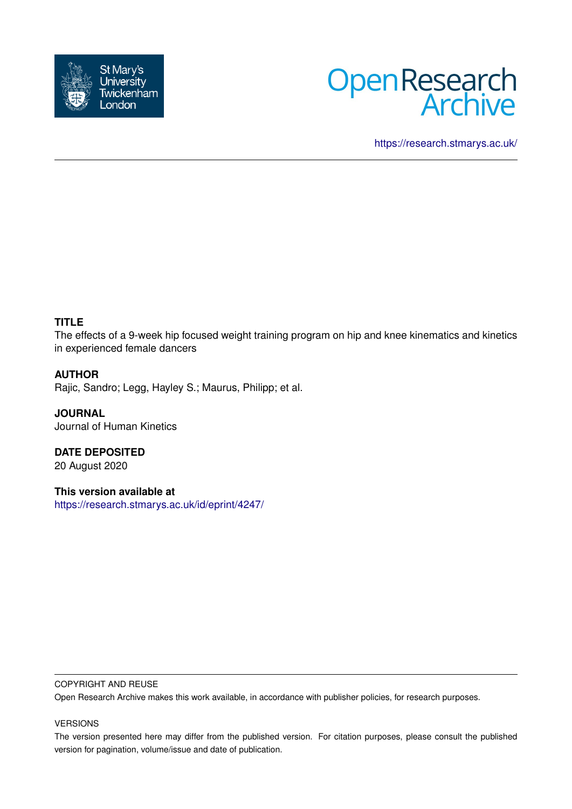



<https://research.stmarys.ac.uk/>

## **TITLE**

The effects of a 9-week hip focused weight training program on hip and knee kinematics and kinetics in experienced female dancers

## **AUTHOR**

Rajic, Sandro; Legg, Hayley S.; Maurus, Philipp; et al.

**JOURNAL** Journal of Human Kinetics

**DATE DEPOSITED** 20 August 2020

**This version available at** <https://research.stmarys.ac.uk/id/eprint/4247/>

#### COPYRIGHT AND REUSE

Open Research Archive makes this work available, in accordance with publisher policies, for research purposes.

#### VERSIONS

The version presented here may differ from the published version. For citation purposes, please consult the published version for pagination, volume/issue and date of publication.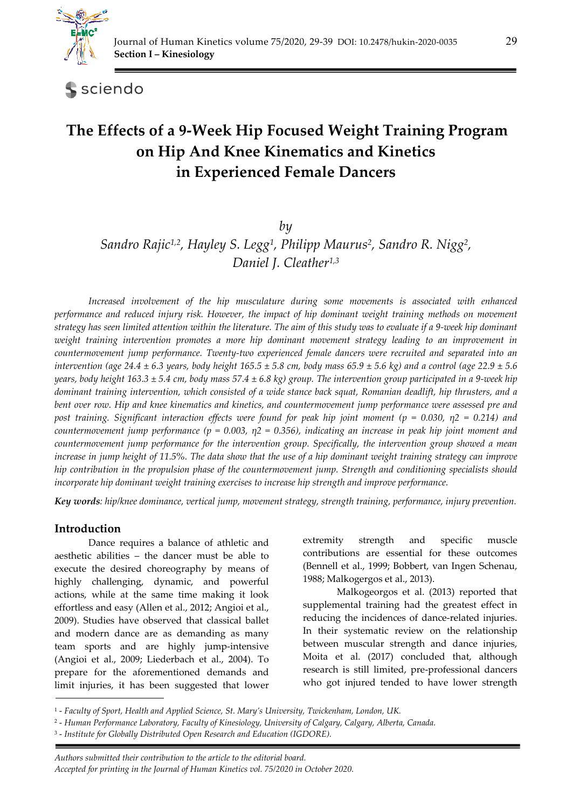

sciendo

# **The Effects of a 9-Week Hip Focused Weight Training Program on Hip And Knee Kinematics and Kinetics in Experienced Female Dancers**

*by* 

*Sandro Rajic1,2, Hayley S. Legg1, Philipp Maurus2, Sandro R. Nigg2, Daniel J. Cleather1,3*

Increased involvement of the hip musculature during some movements is associated with enhanced *performance and reduced injury risk. However, the impact of hip dominant weight training methods on movement strategy has seen limited attention within the literature. The aim of this study was to evaluate if a 9-week hip dominant weight training intervention promotes a more hip dominant movement strategy leading to an improvement in countermovement jump performance. Twenty-two experienced female dancers were recruited and separated into an intervention (age 24.4 ± 6.3 years, body height 165.5 ± 5.8 cm, body mass 65.9 ± 5.6 kg) and a control (age 22.9 ± 5.6 years, body height 163.3 ± 5.4 cm, body mass 57.4 ± 6.8 kg) group. The intervention group participated in a 9-week hip dominant training intervention, which consisted of a wide stance back squat, Romanian deadlift, hip thrusters, and a bent over row. Hip and knee kinematics and kinetics, and countermovement jump performance were assessed pre and post training. Significant interaction effects were found for peak hip joint moment (p = 0.030, η2 = 0.214) and countermovement jump performance (p = 0.003, η2 = 0.356), indicating an increase in peak hip joint moment and countermovement jump performance for the intervention group. Specifically, the intervention group showed a mean increase in jump height of 11.5%. The data show that the use of a hip dominant weight training strategy can improve hip contribution in the propulsion phase of the countermovement jump. Strength and conditioning specialists should incorporate hip dominant weight training exercises to increase hip strength and improve performance.* 

*Key words: hip/knee dominance, vertical jump, movement strategy, strength training, performance, injury prevention.* 

# **Introduction**

Dance requires a balance of athletic and aesthetic abilities – the dancer must be able to execute the desired choreography by means of highly challenging, dynamic, and powerful actions, while at the same time making it look effortless and easy (Allen et al., 2012; Angioi et al., 2009). Studies have observed that classical ballet and modern dance are as demanding as many team sports and are highly jump-intensive (Angioi et al., 2009; Liederbach et al., 2004). To prepare for the aforementioned demands and limit injuries, it has been suggested that lower extremity strength and specific muscle contributions are essential for these outcomes (Bennell et al., 1999; Bobbert, van Ingen Schenau, 1988; Malkogergos et al., 2013).

Malkogeorgos et al. (2013) reported that supplemental training had the greatest effect in reducing the incidences of dance-related injuries. In their systematic review on the relationship between muscular strength and dance injuries, Moita et al. (2017) concluded that, although research is still limited, pre-professional dancers who got injured tended to have lower strength

<sup>1 -</sup> *Faculty of Sport, Health and Applied Science, St. Mary's University, Twickenham, London, UK.* 

<sup>2 -</sup> *Human Performance Laboratory, Faculty of Kinesiology, University of Calgary, Calgary, Alberta, Canada.* 

<sup>3 -</sup> *Institute for Globally Distributed Open Research and Education (IGDORE).*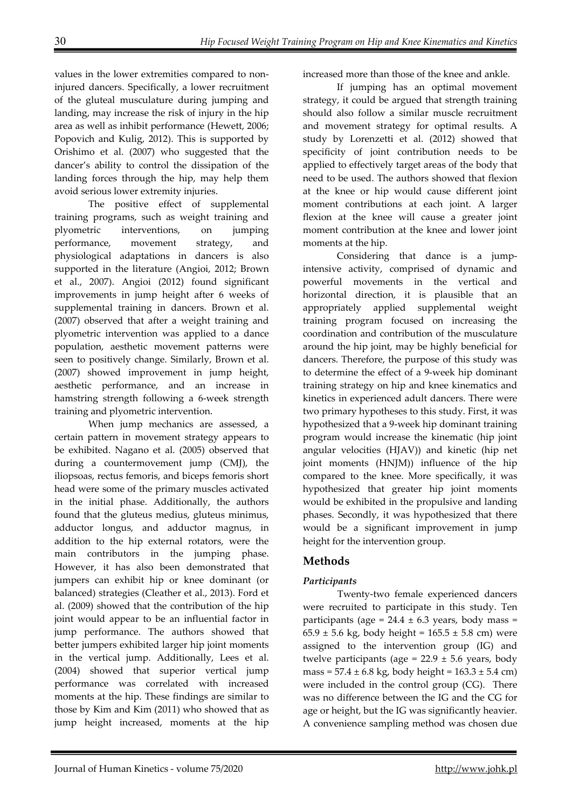values in the lower extremities compared to noninjured dancers. Specifically, a lower recruitment of the gluteal musculature during jumping and landing, may increase the risk of injury in the hip area as well as inhibit performance (Hewett, 2006; Popovich and Kulig, 2012). This is supported by Orishimo et al. (2007) who suggested that the dancer's ability to control the dissipation of the landing forces through the hip, may help them avoid serious lower extremity injuries.

The positive effect of supplemental training programs, such as weight training and plyometric interventions, on jumping performance, movement strategy, and physiological adaptations in dancers is also supported in the literature (Angioi, 2012; Brown et al., 2007). Angioi (2012) found significant improvements in jump height after 6 weeks of supplemental training in dancers. Brown et al. (2007) observed that after a weight training and plyometric intervention was applied to a dance population, aesthetic movement patterns were seen to positively change. Similarly, Brown et al. (2007) showed improvement in jump height, aesthetic performance, and an increase in hamstring strength following a 6-week strength training and plyometric intervention.

When jump mechanics are assessed, a certain pattern in movement strategy appears to be exhibited. Nagano et al. (2005) observed that during a countermovement jump (CMJ), the iliopsoas, rectus femoris, and biceps femoris short head were some of the primary muscles activated in the initial phase. Additionally, the authors found that the gluteus medius, gluteus minimus, adductor longus, and adductor magnus, in addition to the hip external rotators, were the main contributors in the jumping phase. However, it has also been demonstrated that jumpers can exhibit hip or knee dominant (or balanced) strategies (Cleather et al., 2013). Ford et al. (2009) showed that the contribution of the hip joint would appear to be an influential factor in jump performance. The authors showed that better jumpers exhibited larger hip joint moments in the vertical jump. Additionally, Lees et al. (2004) showed that superior vertical jump performance was correlated with increased moments at the hip. These findings are similar to those by Kim and Kim (2011) who showed that as jump height increased, moments at the hip

increased more than those of the knee and ankle.

If jumping has an optimal movement strategy, it could be argued that strength training should also follow a similar muscle recruitment and movement strategy for optimal results. A study by Lorenzetti et al. (2012) showed that specificity of joint contribution needs to be applied to effectively target areas of the body that need to be used. The authors showed that flexion at the knee or hip would cause different joint moment contributions at each joint. A larger flexion at the knee will cause a greater joint moment contribution at the knee and lower joint moments at the hip.

Considering that dance is a jumpintensive activity, comprised of dynamic and powerful movements in the vertical and horizontal direction, it is plausible that an appropriately applied supplemental weight training program focused on increasing the coordination and contribution of the musculature around the hip joint, may be highly beneficial for dancers. Therefore, the purpose of this study was to determine the effect of a 9-week hip dominant training strategy on hip and knee kinematics and kinetics in experienced adult dancers. There were two primary hypotheses to this study. First, it was hypothesized that a 9-week hip dominant training program would increase the kinematic (hip joint angular velocities (HJAV)) and kinetic (hip net joint moments (HNJM)) influence of the hip compared to the knee. More specifically, it was hypothesized that greater hip joint moments would be exhibited in the propulsive and landing phases. Secondly, it was hypothesized that there would be a significant improvement in jump height for the intervention group.

# **Methods**

## *Participants*

Twenty-two female experienced dancers were recruited to participate in this study. Ten participants (age =  $24.4 \pm 6.3$  years, body mass =  $65.9 \pm 5.6$  kg, body height =  $165.5 \pm 5.8$  cm) were assigned to the intervention group (IG) and twelve participants (age =  $22.9 \pm 5.6$  years, body mass =  $57.4 \pm 6.8$  kg, body height =  $163.3 \pm 5.4$  cm) were included in the control group (CG). There was no difference between the IG and the CG for age or height, but the IG was significantly heavier. A convenience sampling method was chosen due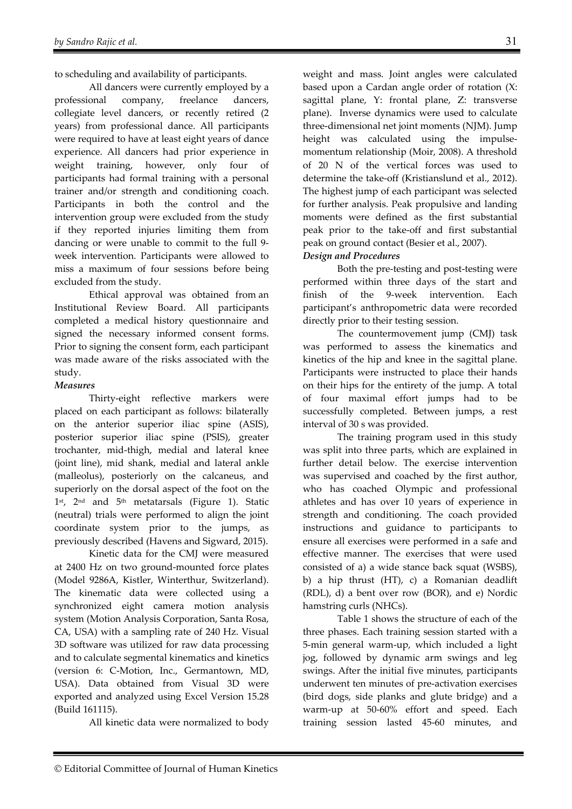to scheduling and availability of participants.

All dancers were currently employed by a professional company, freelance dancers, collegiate level dancers, or recently retired (2 years) from professional dance. All participants were required to have at least eight years of dance experience. All dancers had prior experience in weight training, however, only four of participants had formal training with a personal trainer and/or strength and conditioning coach. Participants in both the control and the intervention group were excluded from the study if they reported injuries limiting them from dancing or were unable to commit to the full 9 week intervention. Participants were allowed to miss a maximum of four sessions before being excluded from the study.

Ethical approval was obtained from an Institutional Review Board. All participants completed a medical history questionnaire and signed the necessary informed consent forms. Prior to signing the consent form, each participant was made aware of the risks associated with the study.

## *Measures*

Thirty-eight reflective markers were placed on each participant as follows: bilaterally on the anterior superior iliac spine (ASIS), posterior superior iliac spine (PSIS), greater trochanter, mid-thigh, medial and lateral knee (joint line), mid shank, medial and lateral ankle (malleolus), posteriorly on the calcaneus, and superiorly on the dorsal aspect of the foot on the  $1<sup>st</sup>$ ,  $2<sup>nd</sup>$  and  $5<sup>th</sup>$  metatarsals (Figure 1). Static (neutral) trials were performed to align the joint coordinate system prior to the jumps, as previously described (Havens and Sigward, 2015).

Kinetic data for the CMJ were measured at 2400 Hz on two ground-mounted force plates (Model 9286A, Kistler, Winterthur, Switzerland). The kinematic data were collected using a synchronized eight camera motion analysis system (Motion Analysis Corporation, Santa Rosa, CA, USA) with a sampling rate of 240 Hz. Visual 3D software was utilized for raw data processing and to calculate segmental kinematics and kinetics (version 6: C-Motion, Inc., Germantown, MD, USA). Data obtained from Visual 3D were exported and analyzed using Excel Version 15.28 (Build 161115).

All kinetic data were normalized to body

weight and mass. Joint angles were calculated based upon a Cardan angle order of rotation (X: sagittal plane, Y: frontal plane, Z: transverse plane). Inverse dynamics were used to calculate three-dimensional net joint moments (NJM). Jump height was calculated using the impulsemomentum relationship (Moir, 2008). A threshold of 20 N of the vertical forces was used to determine the take-off (Kristianslund et al., 2012). The highest jump of each participant was selected for further analysis. Peak propulsive and landing moments were defined as the first substantial peak prior to the take-off and first substantial peak on ground contact (Besier et al., 2007).

## *Design and Procedures*

Both the pre-testing and post-testing were performed within three days of the start and finish of the 9-week intervention. Each participant's anthropometric data were recorded directly prior to their testing session.

The countermovement jump (CMJ) task was performed to assess the kinematics and kinetics of the hip and knee in the sagittal plane. Participants were instructed to place their hands on their hips for the entirety of the jump. A total of four maximal effort jumps had to be successfully completed. Between jumps, a rest interval of 30 s was provided.

The training program used in this study was split into three parts, which are explained in further detail below. The exercise intervention was supervised and coached by the first author, who has coached Olympic and professional athletes and has over 10 years of experience in strength and conditioning. The coach provided instructions and guidance to participants to ensure all exercises were performed in a safe and effective manner. The exercises that were used consisted of a) a wide stance back squat (WSBS), b) a hip thrust (HT), c) a Romanian deadlift (RDL), d) a bent over row (BOR), and e) Nordic hamstring curls (NHCs).

Table 1 shows the structure of each of the three phases. Each training session started with a 5-min general warm-up, which included a light jog, followed by dynamic arm swings and leg swings. After the initial five minutes, participants underwent ten minutes of pre-activation exercises (bird dogs, side planks and glute bridge) and a warm-up at 50-60% effort and speed. Each training session lasted 45-60 minutes, and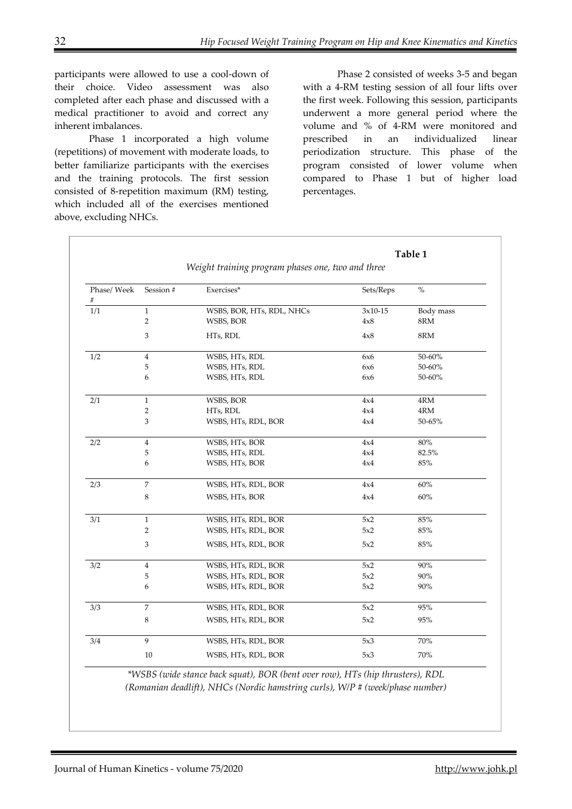participants were allowed to use a cool-down of their choice. Video assessment was also completed after each phase and discussed with a medical practitioner to avoid and correct any inherent imbalances.

Phase 1 incorporated a high volume (repetitions) of movement with moderate loads, to better familiarize participants with the exercises and the training protocols. The first session consisted of 8-repetition maximum (RM) testing, which included all of the exercises mentioned above, excluding NHCs.

Phase 2 consisted of weeks 3-5 and began with a 4-RM testing session of all four lifts over the first week. Following this session, participants underwent a more general period where the volume and % of 4-RM were monitored and prescribed in an individualized linear periodization structure. This phase of the program consisted of lower volume when compared to Phase 1 but of higher load percentages.

|                  |                                                   |                           |           | Table 1        |  |
|------------------|---------------------------------------------------|---------------------------|-----------|----------------|--|
|                  | Weight training program phases one, two and three |                           |           |                |  |
| Phase/ Week<br># | Session #                                         | Exercises*                | Sets/Reps | $\%$           |  |
| 1/1              | $\mathbf{1}$                                      | WSBS, BOR, HTs, RDL, NHCs | $3x10-15$ | Body mass      |  |
|                  | $\overline{2}$                                    | WSBS, BOR                 | 4x8       | 8RM            |  |
|                  | 3                                                 | HTs, RDL                  | 4x8       | $8\mathrm{RM}$ |  |
| 1/2              | $\overline{4}$                                    | WSBS, HTs, RDL            | 6x6       | 50-60%         |  |
|                  | 5                                                 | WSBS, HTs, RDL            | 6x6       | 50-60%         |  |
|                  | 6                                                 | WSBS, HTs, RDL            | 6x6       | 50-60%         |  |
| 2/1              | $\mathbf{1}$                                      | WSBS, BOR                 | 4x4       | 4RM            |  |
|                  | $\mathbf 2$                                       | HTs, RDL                  | 4x4       | 4RM            |  |
|                  | 3                                                 | WSBS, HTs, RDL, BOR       | 4x4       | 50-65%         |  |
| 2/2              | $\overline{4}$                                    | WSBS, HTs, BOR            | 4x4       | $80\%$         |  |
|                  | 5                                                 | WSBS, HTs, RDL            | 4x4       | 82.5%          |  |
|                  | 6                                                 | WSBS, HTs, BOR            | 4x4       | 85%            |  |
| 2/3              | $\overline{7}$                                    | WSBS, HTs, RDL, BOR       | 4x4       | 60%            |  |
|                  | 8                                                 | WSBS, HTs, BOR            | 4x4       | 60%            |  |
| 3/1              | $\mathbf{1}$                                      | WSBS, HTs, RDL, BOR       | 5x2       | 85%            |  |
|                  | $\overline{2}$                                    | WSBS, HTs, RDL, BOR       | 5x2       | 85%            |  |
|                  | 3                                                 | WSBS, HTs, RDL, BOR       | 5x2       | 85%            |  |
| 3/2              | $\overline{4}$                                    | WSBS, HTs, RDL, BOR       | 5x2       | 90%            |  |
|                  | 5                                                 | WSBS, HTs, RDL, BOR       | 5x2       | 90%            |  |
|                  | 6                                                 | WSBS, HTs, RDL, BOR       | 5x2       | 90%            |  |
| 3/3              | $\overline{7}$                                    | WSBS, HTs, RDL, BOR       | 5x2       | 95%            |  |
|                  | 8                                                 | WSBS, HTs, RDL, BOR       | 5x2       | 95%            |  |
| 3/4              | $\mathbf{q}$                                      | WSBS, HTs, RDL, BOR       | 5x3       | 70%            |  |
|                  | $10\,$                                            | WSBS, HTs, RDL, BOR       | 5x3       | 70%            |  |

*\*WSBS (wide stance back squat), BOR (bent over row), HTs (hip thrusters), RDL (Romanian deadlift), NHCs (Nordic hamstring curls), W/P # (week/phase number)*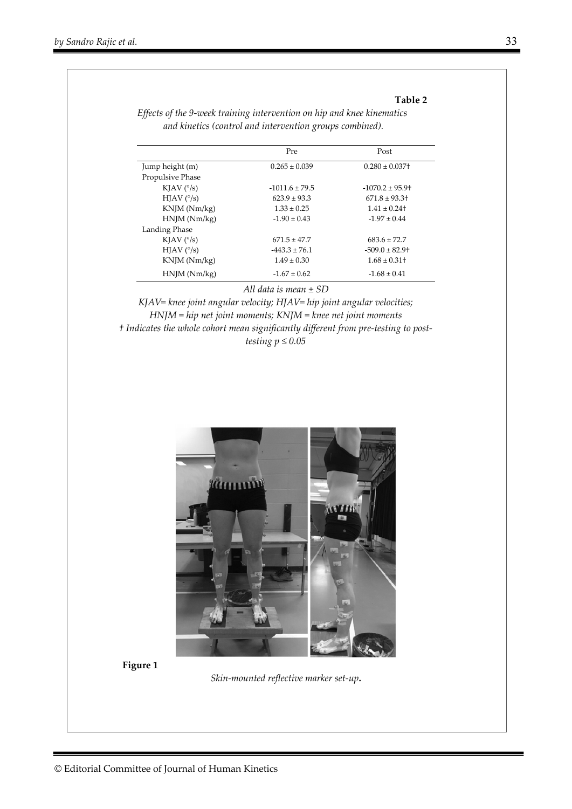#### **Table 2**

|                         | Pre                | Post                |
|-------------------------|--------------------|---------------------|
| Jump height (m)         | $0.265 \pm 0.039$  | $0.280 \pm 0.037$ + |
| <b>Propulsive Phase</b> |                    |                     |
| KJAV $(^\circ/s)$       | $-1011.6 \pm 79.5$ | $-1070.2 \pm 95.9$  |
| $HIAV$ ( $\degree$ /s)  | $623.9 \pm 93.3$   | $671.8 \pm 93.3$    |
| KNJM (Nm/kg)            | $1.33 \pm 0.25$    | $1.41 \pm 0.24$     |
| HNIM(Nm/kg)             | $-1.90 \pm 0.43$   | $-1.97 \pm 0.44$    |
| Landing Phase           |                    |                     |
| KJAV $(^\circ/s)$       | $671.5 \pm 47.7$   | $683.6 \pm 72.7$    |
| $HIAV$ ( $\degree$ /s)  | $-443.3 \pm 76.1$  | $-509.0 \pm 82.9$ + |
| $KNJM$ ( $Nm/kg$ )      | $1.49 \pm 0.30$    | $1.68 \pm 0.31$ +   |
| HNIM(Nm/kg)             | $-1.67 \pm 0.62$   | $-1.68 \pm 0.41$    |
|                         |                    |                     |

*Effects of the 9-week training intervention on hip and knee kinematics and kinetics (control and intervention groups combined).*

*All data is mean ± SD* 

*KJAV= knee joint angular velocity; HJAV= hip joint angular velocities; HNJM = hip net joint moments; KNJM = knee net joint moments † Indicates the whole cohort mean significantly different from pre-testing to posttesting*  $p \leq 0.05$ 



**Figure 1** 

*Skin-mounted reflective marker set-up***.**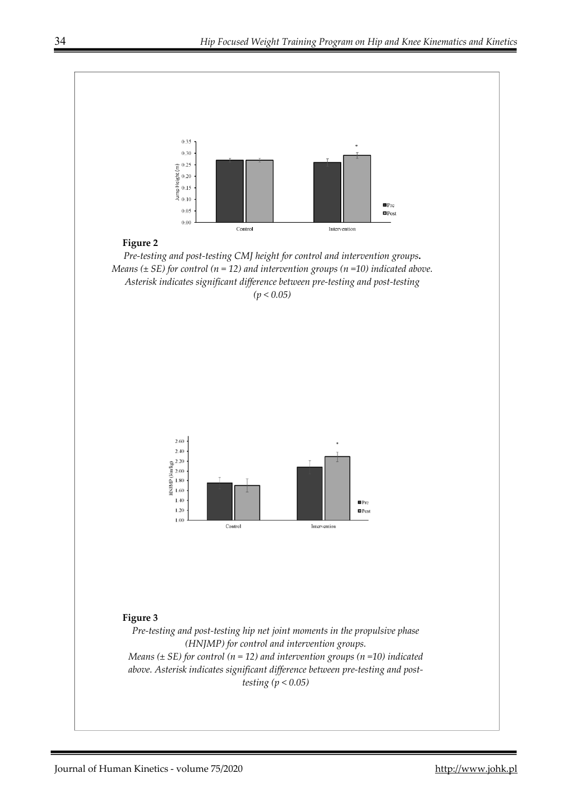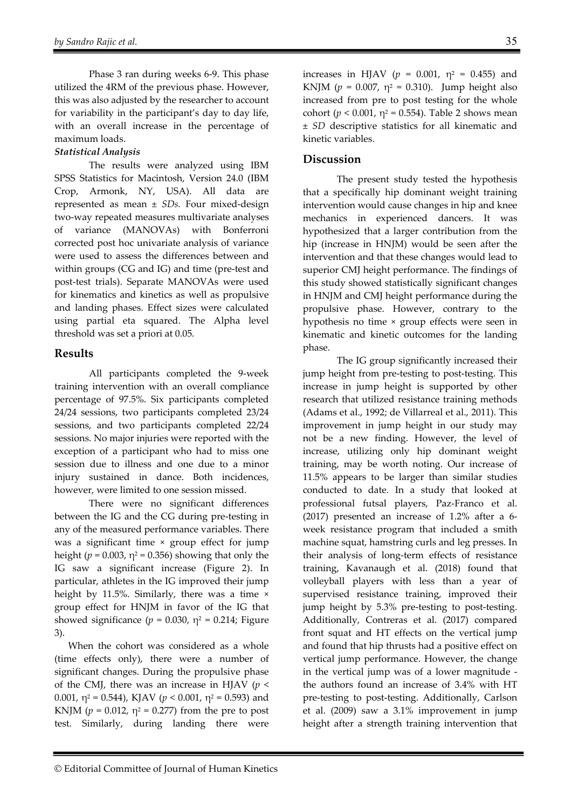Phase 3 ran during weeks 6-9. This phase utilized the 4RM of the previous phase. However, this was also adjusted by the researcher to account for variability in the participant's day to day life, with an overall increase in the percentage of maximum loads.

### *Statistical Analysis*

The results were analyzed using IBM SPSS Statistics for Macintosh, Version 24.0 (IBM Crop, Armonk, NY, USA). All data are represented as mean ± *SDs.* Four mixed-design two-way repeated measures multivariate analyses of variance (MANOVAs) with Bonferroni corrected post hoc univariate analysis of variance were used to assess the differences between and within groups (CG and IG) and time (pre-test and post-test trials). Separate MANOVAs were used for kinematics and kinetics as well as propulsive and landing phases. Effect sizes were calculated using partial eta squared. The Alpha level threshold was set a priori at 0.05.

### **Results**

All participants completed the 9-week training intervention with an overall compliance percentage of 97.5%. Six participants completed 24/24 sessions, two participants completed 23/24 sessions, and two participants completed 22/24 sessions. No major injuries were reported with the exception of a participant who had to miss one session due to illness and one due to a minor injury sustained in dance. Both incidences, however, were limited to one session missed.

There were no significant differences between the IG and the CG during pre-testing in any of the measured performance variables. There was a significant time × group effect for jump height ( $p = 0.003$ ,  $\eta^2 = 0.356$ ) showing that only the IG saw a significant increase (Figure 2). In particular, athletes in the IG improved their jump height by 11.5%. Similarly, there was a time × group effect for HNJM in favor of the IG that showed significance  $(p = 0.030, \eta^2 = 0.214$ ; Figure 3).

When the cohort was considered as a whole (time effects only), there were a number of significant changes. During the propulsive phase of the CMJ, there was an increase in HJAV (*p* < 0.001,  $\eta^2 = 0.544$ ), KJAV ( $p < 0.001$ ,  $\eta^2 = 0.593$ ) and KNJM ( $p = 0.012$ ,  $\eta^2 = 0.277$ ) from the pre to post test. Similarly, during landing there were

increases in HJAV ( $p = 0.001$ ,  $\eta^2 = 0.455$ ) and KNJM ( $p = 0.007$ ,  $\eta^2 = 0.310$ ). Jump height also increased from pre to post testing for the whole cohort (*p* < 0.001, η<sup>2</sup> = 0.554). Table 2 shows mean ± *SD* descriptive statistics for all kinematic and kinetic variables.

## **Discussion**

The present study tested the hypothesis that a specifically hip dominant weight training intervention would cause changes in hip and knee mechanics in experienced dancers. It was hypothesized that a larger contribution from the hip (increase in HNJM) would be seen after the intervention and that these changes would lead to superior CMJ height performance. The findings of this study showed statistically significant changes in HNJM and CMJ height performance during the propulsive phase. However, contrary to the hypothesis no time × group effects were seen in kinematic and kinetic outcomes for the landing phase.

The IG group significantly increased their jump height from pre-testing to post-testing. This increase in jump height is supported by other research that utilized resistance training methods (Adams et al., 1992; de Villarreal et al., 2011). This improvement in jump height in our study may not be a new finding. However, the level of increase, utilizing only hip dominant weight training, may be worth noting. Our increase of 11.5% appears to be larger than similar studies conducted to date. In a study that looked at professional futsal players, Paz-Franco et al. (2017) presented an increase of 1.2% after a 6 week resistance program that included a smith machine squat, hamstring curls and leg presses. In their analysis of long-term effects of resistance training, Kavanaugh et al. (2018) found that volleyball players with less than a year of supervised resistance training, improved their jump height by 5.3% pre-testing to post-testing. Additionally, Contreras et al. (2017) compared front squat and HT effects on the vertical jump and found that hip thrusts had a positive effect on vertical jump performance. However, the change in the vertical jump was of a lower magnitude the authors found an increase of 3.4% with HT pre-testing to post-testing. Additionally, Carlson et al. (2009) saw a 3.1% improvement in jump height after a strength training intervention that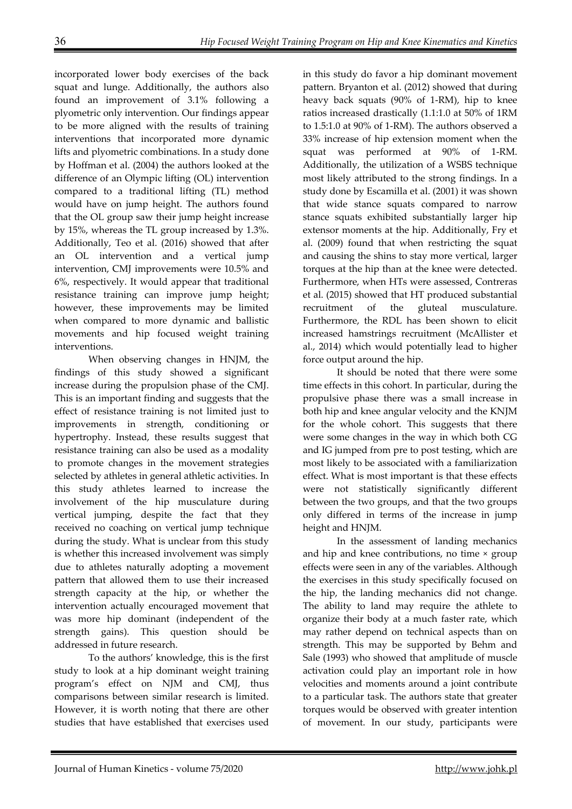incorporated lower body exercises of the back squat and lunge. Additionally, the authors also found an improvement of 3.1% following a plyometric only intervention. Our findings appear to be more aligned with the results of training interventions that incorporated more dynamic lifts and plyometric combinations. In a study done by Hoffman et al. (2004) the authors looked at the difference of an Olympic lifting (OL) intervention compared to a traditional lifting (TL) method would have on jump height. The authors found that the OL group saw their jump height increase by 15%, whereas the TL group increased by 1.3%. Additionally, Teo et al. (2016) showed that after an OL intervention and a vertical jump intervention, CMJ improvements were 10.5% and 6%, respectively. It would appear that traditional resistance training can improve jump height; however, these improvements may be limited when compared to more dynamic and ballistic movements and hip focused weight training interventions.

When observing changes in HNJM, the findings of this study showed a significant increase during the propulsion phase of the CMJ. This is an important finding and suggests that the effect of resistance training is not limited just to improvements in strength, conditioning or hypertrophy. Instead, these results suggest that resistance training can also be used as a modality to promote changes in the movement strategies selected by athletes in general athletic activities. In this study athletes learned to increase the involvement of the hip musculature during vertical jumping, despite the fact that they received no coaching on vertical jump technique during the study. What is unclear from this study is whether this increased involvement was simply due to athletes naturally adopting a movement pattern that allowed them to use their increased strength capacity at the hip, or whether the intervention actually encouraged movement that was more hip dominant (independent of the strength gains). This question should be addressed in future research.

To the authors' knowledge, this is the first study to look at a hip dominant weight training program's effect on NJM and CMJ, thus comparisons between similar research is limited. However, it is worth noting that there are other studies that have established that exercises used

in this study do favor a hip dominant movement pattern. Bryanton et al. (2012) showed that during heavy back squats (90% of 1-RM), hip to knee ratios increased drastically (1.1:1.0 at 50% of 1RM to 1.5:1.0 at 90% of 1-RM). The authors observed a 33% increase of hip extension moment when the squat was performed at 90% of 1-RM. Additionally, the utilization of a WSBS technique most likely attributed to the strong findings. In a study done by Escamilla et al. (2001) it was shown that wide stance squats compared to narrow stance squats exhibited substantially larger hip extensor moments at the hip. Additionally, Fry et al. (2009) found that when restricting the squat and causing the shins to stay more vertical, larger torques at the hip than at the knee were detected. Furthermore, when HTs were assessed, Contreras et al. (2015) showed that HT produced substantial recruitment of the gluteal musculature. Furthermore, the RDL has been shown to elicit increased hamstrings recruitment (McAllister et al., 2014) which would potentially lead to higher force output around the hip.

It should be noted that there were some time effects in this cohort. In particular, during the propulsive phase there was a small increase in both hip and knee angular velocity and the KNJM for the whole cohort. This suggests that there were some changes in the way in which both CG and IG jumped from pre to post testing, which are most likely to be associated with a familiarization effect. What is most important is that these effects were not statistically significantly different between the two groups, and that the two groups only differed in terms of the increase in jump height and HNJM.

In the assessment of landing mechanics and hip and knee contributions, no time × group effects were seen in any of the variables. Although the exercises in this study specifically focused on the hip, the landing mechanics did not change. The ability to land may require the athlete to organize their body at a much faster rate, which may rather depend on technical aspects than on strength. This may be supported by Behm and Sale (1993) who showed that amplitude of muscle activation could play an important role in how velocities and moments around a joint contribute to a particular task. The authors state that greater torques would be observed with greater intention of movement. In our study, participants were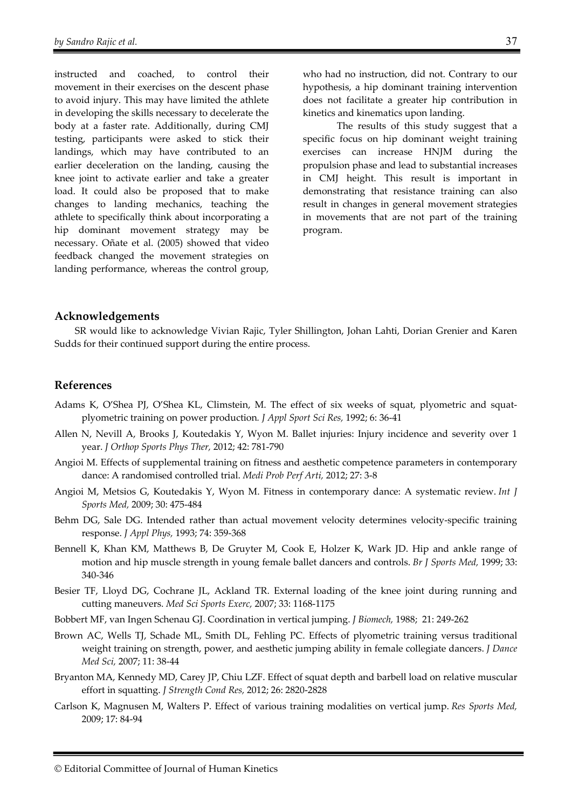instructed and coached, to control their movement in their exercises on the descent phase to avoid injury. This may have limited the athlete in developing the skills necessary to decelerate the body at a faster rate. Additionally, during CMJ testing, participants were asked to stick their landings, which may have contributed to an earlier deceleration on the landing, causing the knee joint to activate earlier and take a greater load. It could also be proposed that to make changes to landing mechanics, teaching the athlete to specifically think about incorporating a hip dominant movement strategy may be necessary. Oñate et al. (2005) showed that video feedback changed the movement strategies on landing performance, whereas the control group,

who had no instruction, did not. Contrary to our hypothesis, a hip dominant training intervention does not facilitate a greater hip contribution in kinetics and kinematics upon landing.

The results of this study suggest that a specific focus on hip dominant weight training exercises can increase HNJM during the propulsion phase and lead to substantial increases in CMJ height. This result is important in demonstrating that resistance training can also result in changes in general movement strategies in movements that are not part of the training program.

#### **Acknowledgements**

SR would like to acknowledge Vivian Rajic, Tyler Shillington, Johan Lahti, Dorian Grenier and Karen Sudds for their continued support during the entire process.

#### **References**

- Adams K, O'Shea PJ, O'Shea KL, Climstein, M. The effect of six weeks of squat, plyometric and squatplyometric training on power production*. J Appl Sport Sci Res,* 1992; 6: 36-41
- Allen N, Nevill A, Brooks J, Koutedakis Y, Wyon M. Ballet injuries: Injury incidence and severity over 1 year. *J Orthop Sports Phys Ther,* 2012; 42: 781-790
- Angioi M. Effects of supplemental training on fitness and aesthetic competence parameters in contemporary dance: A randomised controlled trial. *Medi Prob Perf Arti,* 2012; 27: 3-8
- Angioi M, Metsios G, Koutedakis Y, Wyon M. Fitness in contemporary dance: A systematic review. *Int J Sports Med,* 2009; 30: 475-484
- Behm DG, Sale DG. Intended rather than actual movement velocity determines velocity-specific training response. *J Appl Phys,* 1993; 74: 359-368
- Bennell K, Khan KM, Matthews B, De Gruyter M, Cook E, Holzer K, Wark JD. Hip and ankle range of motion and hip muscle strength in young female ballet dancers and controls. *Br J Sports Med,* 1999; 33: 340-346
- Besier TF, Lloyd DG, Cochrane JL, Ackland TR. External loading of the knee joint during running and cutting maneuvers. *Med Sci Sports Exerc,* 2007; 33: 1168-1175
- Bobbert MF, van Ingen Schenau GJ. Coordination in vertical jumping. *J Biomech,* 1988; 21: 249-262
- Brown AC, Wells TJ, Schade ML, Smith DL, Fehling PC. Effects of plyometric training versus traditional weight training on strength, power, and aesthetic jumping ability in female collegiate dancers. *J Dance Med Sci,* 2007; 11: 38-44
- Bryanton MA, Kennedy MD, Carey JP, Chiu LZF. Effect of squat depth and barbell load on relative muscular effort in squatting. *J Strength Cond Res,* 2012; 26: 2820-2828
- Carlson K, Magnusen M, Walters P. Effect of various training modalities on vertical jump. *Res Sports Med,*  2009; 17: 84-94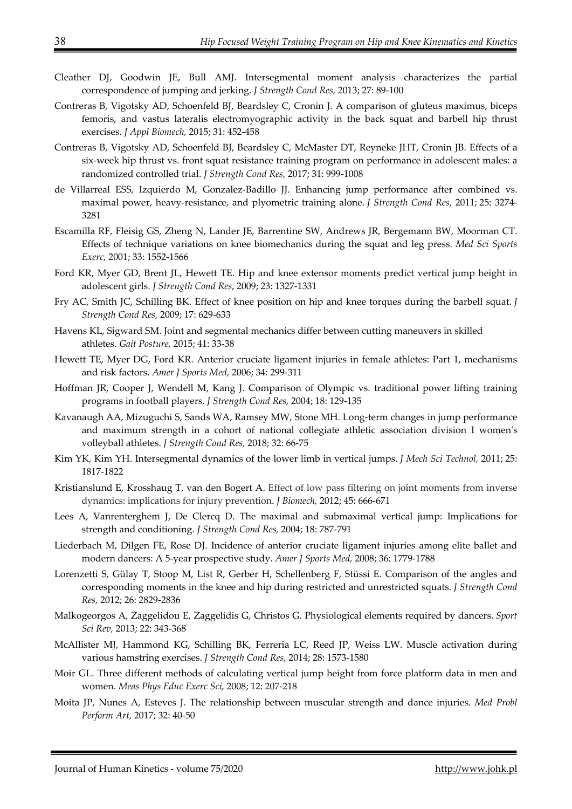- Cleather DJ, Goodwin JE, Bull AMJ. Intersegmental moment analysis characterizes the partial correspondence of jumping and jerking. *J Strength Cond Res,* 2013; 27: 89-100
- Contreras B, Vigotsky AD, Schoenfeld BJ, Beardsley C, Cronin J. A comparison of gluteus maximus, biceps femoris, and vastus lateralis electromyographic activity in the back squat and barbell hip thrust exercises. *J Appl Biomech,* 2015; 31: 452-458
- Contreras B, Vigotsky AD, Schoenfeld BJ, Beardsley C, McMaster DT, Reyneke JHT, Cronin JB. Effects of a six-week hip thrust vs. front squat resistance training program on performance in adolescent males: a randomized controlled trial. *J Strength Cond Res,* 2017; 31: 999-1008
- de Villarreal ESS, Izquierdo M, Gonzalez-Badillo JJ. Enhancing jump performance after combined vs. maximal power, heavy-resistance, and plyometric training alone. *J Strength Cond Res,* 2011; 25: 3274- 3281
- Escamilla RF, Fleisig GS, Zheng N, Lander JE, Barrentine SW, Andrews JR, Bergemann BW, Moorman CT. Effects of technique variations on knee biomechanics during the squat and leg press. *Med Sci Sports Exerc,* 2001; 33: 1552-1566
- Ford KR, Myer GD, Brent JL, Hewett TE. Hip and knee extensor moments predict vertical jump height in adolescent girls. *J Strength Cond Res*, 2009; 23: 1327-1331
- Fry AC, Smith JC, Schilling BK. Effect of knee position on hip and knee torques during the barbell squat. *J Strength Cond Res,* 2009; 17: 629-633
- Havens KL, Sigward SM. Joint and segmental mechanics differ between cutting maneuvers in skilled athletes. *Gait Posture,* 2015; 41: 33-38
- Hewett TE, Myer DG, Ford KR. Anterior cruciate ligament injuries in female athletes: Part 1, mechanisms and risk factors. *Amer J Sports Med,* 2006; 34: 299-311
- Hoffman JR, Cooper J, Wendell M, Kang J. Comparison of Olympic vs. traditional power lifting training programs in football players. *J Strength Cond Res,* 2004; 18: 129-135
- Kavanaugh AA, Mizuguchi S, Sands WA, Ramsey MW, Stone MH. Long-term changes in jump performance and maximum strength in a cohort of national collegiate athletic association division I women's volleyball athletes. *J Strength Cond Res,* 2018; 32: 66-75
- Kim YK, Kim YH. Intersegmental dynamics of the lower limb in vertical jumps. *J Mech Sci Technol,* 2011; 25: 1817-1822
- Kristianslund E, Krosshaug T, van den Bogert A. Effect of low pass filtering on joint moments from inverse dynamics: implications for injury prevention. *J Biomech,* 2012; 45: 666-671
- Lees A, Vanrenterghem J, De Clercq D. The maximal and submaximal vertical jump: Implications for strength and conditioning. *J Strength Cond Res,* 2004; 18: 787-791
- Liederbach M, Dilgen FE, Rose DJ. Incidence of anterior cruciate ligament injuries among elite ballet and modern dancers: A 5-year prospective study. *Amer J Sports Med,* 2008; 36: 1779-1788
- Lorenzetti S, Gülay T, Stoop M, List R, Gerber H, Schellenberg F, Stüssi E. Comparison of the angles and corresponding moments in the knee and hip during restricted and unrestricted squats. *J Strength Cond Res,* 2012; 26: 2829-2836
- Malkogeorgos A, Zaggelidou E, Zaggelidis G, Christos G. Physiological elements required by dancers. *Sport Sci Rev,* 2013; 22: 343-368
- McAllister MJ, Hammond KG, Schilling BK, Ferreria LC, Reed JP, Weiss LW. Muscle activation during various hamstring exercises. *J Strength Cond Res,* 2014; 28: 1573-1580
- Moir GL. Three different methods of calculating vertical jump height from force platform data in men and women. *Meas Phys Educ Exerc Sci,* 2008; 12: 207-218
- Moita JP, Nunes A, Esteves J. The relationship between muscular strength and dance injuries. *Med Probl Perform Art,* 2017; 32: 40-50